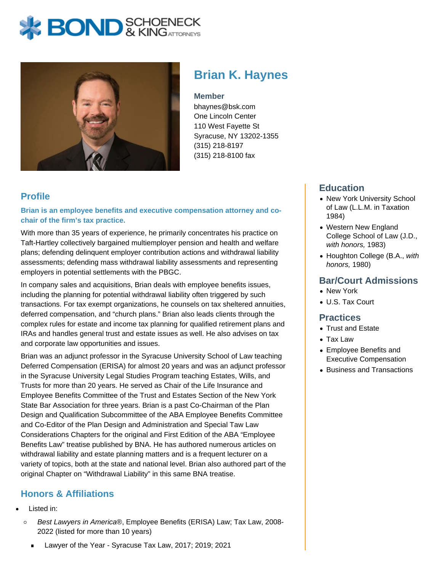# **BOND** & KINGATTORNECK



**Brian K. Haynes**

#### **Member**

bhaynes@bsk.com One Lincoln Center 110 West Fayette St Syracuse, NY 13202-1355 (315) 218-8197 (315) 218-8100 fax

### **Profile**

**Brian is an employee benefits and executive compensation attorney and cochair of the firm's tax practice.**

With more than 35 years of experience, he primarily concentrates his practice on Taft-Hartley collectively bargained multiemployer pension and health and welfare plans; defending delinquent employer contribution actions and withdrawal liability assessments; defending mass withdrawal liability assessments and representing employers in potential settlements with the PBGC.

In company sales and acquisitions, Brian deals with employee benefits issues, including the planning for potential withdrawal liability often triggered by such transactions. For tax exempt organizations, he counsels on tax sheltered annuities, deferred compensation, and "church plans." Brian also leads clients through the complex rules for estate and income tax planning for qualified retirement plans and IRAs and handles general trust and estate issues as well. He also advises on tax and corporate law opportunities and issues.

Brian was an adjunct professor in the Syracuse University School of Law teaching Deferred Compensation (ERISA) for almost 20 years and was an adjunct professor in the Syracuse University Legal Studies Program teaching Estates, Wills, and Trusts for more than 20 years. He served as Chair of the Life Insurance and Employee Benefits Committee of the Trust and Estates Section of the New York State Bar Association for three years. Brian is a past Co-Chairman of the Plan Design and Qualification Subcommittee of the ABA Employee Benefits Committee and Co-Editor of the Plan Design and Administration and Special Taw Law Considerations Chapters for the original and First Edition of the ABA "Employee Benefits Law" treatise published by BNA. He has authored numerous articles on withdrawal liability and estate planning matters and is a frequent lecturer on a variety of topics, both at the state and national level. Brian also authored part of the original Chapter on "Withdrawal Liability" in this same BNA treatise.

## **Honors & Affiliations**

- Listed in:
	- Best Lawyers in America®, Employee Benefits (ERISA) Law; Tax Law, 2008-  $\circ$ 2022 (listed for more than 10 years)
		- Lawyer of the Year Syracuse Tax Law, 2017; 2019; 2021

#### **Education**

- New York University School of Law (L.L.M. in Taxation 1984)
- Western New England College School of Law (J.D., with honors, 1983)
- Houghton College (B.A., with honors, 1980)

#### **Bar/Court Admissions**

- New York
- U.S. Tax Court

#### **Practices**

- Trust and Estate
- Tax Law
- Employee Benefits and Executive Compensation
- Business and Transactions